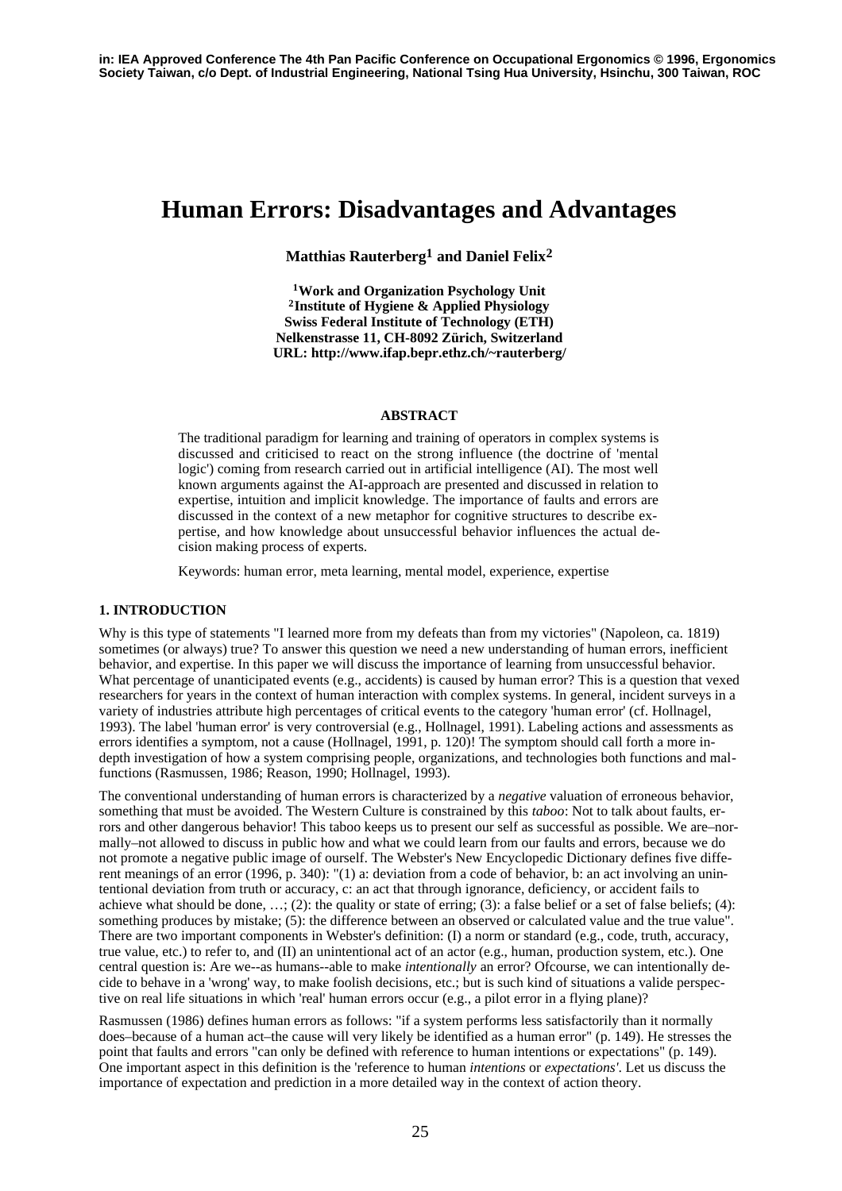# **Human Errors: Disadvantages and Advantages**

**Matthias Rauterberg1 and Daniel Felix2**

**1Work and Organization Psychology Unit 2Institute of Hygiene & Applied Physiology Swiss Federal Institute of Technology (ETH) Nelkenstrasse 11, CH-8092 Zürich, Switzerland URL: http://www.ifap.bepr.ethz.ch/~rauterberg/**

#### **ABSTRACT**

The traditional paradigm for learning and training of operators in complex systems is discussed and criticised to react on the strong influence (the doctrine of 'mental logic') coming from research carried out in artificial intelligence (AI). The most well known arguments against the AI-approach are presented and discussed in relation to expertise, intuition and implicit knowledge. The importance of faults and errors are discussed in the context of a new metaphor for cognitive structures to describe expertise, and how knowledge about unsuccessful behavior influences the actual decision making process of experts.

Keywords: human error, meta learning, mental model, experience, expertise

#### **1. INTRODUCTION**

Why is this type of statements "I learned more from my defeats than from my victories" (Napoleon, ca. 1819) sometimes (or always) true? To answer this question we need a new understanding of human errors, inefficient behavior, and expertise. In this paper we will discuss the importance of learning from unsuccessful behavior. What percentage of unanticipated events (e.g., accidents) is caused by human error? This is a question that vexed researchers for years in the context of human interaction with complex systems. In general, incident surveys in a variety of industries attribute high percentages of critical events to the category 'human error' (cf. Hollnagel, 1993). The label 'human error' is very controversial (e.g., Hollnagel, 1991). Labeling actions and assessments as errors identifies a symptom, not a cause (Hollnagel, 1991, p. 120)! The symptom should call forth a more indepth investigation of how a system comprising people, organizations, and technologies both functions and malfunctions (Rasmussen, 1986; Reason, 1990; Hollnagel, 1993).

The conventional understanding of human errors is characterized by a *negative* valuation of erroneous behavior, something that must be avoided. The Western Culture is constrained by this *taboo*: Not to talk about faults, errors and other dangerous behavior! This taboo keeps us to present our self as successful as possible. We are–normally–not allowed to discuss in public how and what we could learn from our faults and errors, because we do not promote a negative public image of ourself. The Webster's New Encyclopedic Dictionary defines five different meanings of an error (1996, p. 340): "(1) a: deviation from a code of behavior, b: an act involving an unintentional deviation from truth or accuracy, c: an act that through ignorance, deficiency, or accident fails to achieve what should be done,  $\dots$ ; (2): the quality or state of erring; (3): a false belief or a set of false beliefs; (4): something produces by mistake; (5): the difference between an observed or calculated value and the true value". There are two important components in Webster's definition: (I) a norm or standard (e.g., code, truth, accuracy, true value, etc.) to refer to, and (II) an unintentional act of an actor (e.g., human, production system, etc.). One central question is: Are we--as humans--able to make *intentionally* an error? Ofcourse, we can intentionally decide to behave in a 'wrong' way, to make foolish decisions, etc.; but is such kind of situations a valide perspective on real life situations in which 'real' human errors occur (e.g., a pilot error in a flying plane)?

Rasmussen (1986) defines human errors as follows: "if a system performs less satisfactorily than it normally does–because of a human act–the cause will very likely be identified as a human error" (p. 149). He stresses the point that faults and errors "can only be defined with reference to human intentions or expectations" (p. 149). One important aspect in this definition is the 'reference to human *intentions* or *expectations'*. Let us discuss the importance of expectation and prediction in a more detailed way in the context of action theory.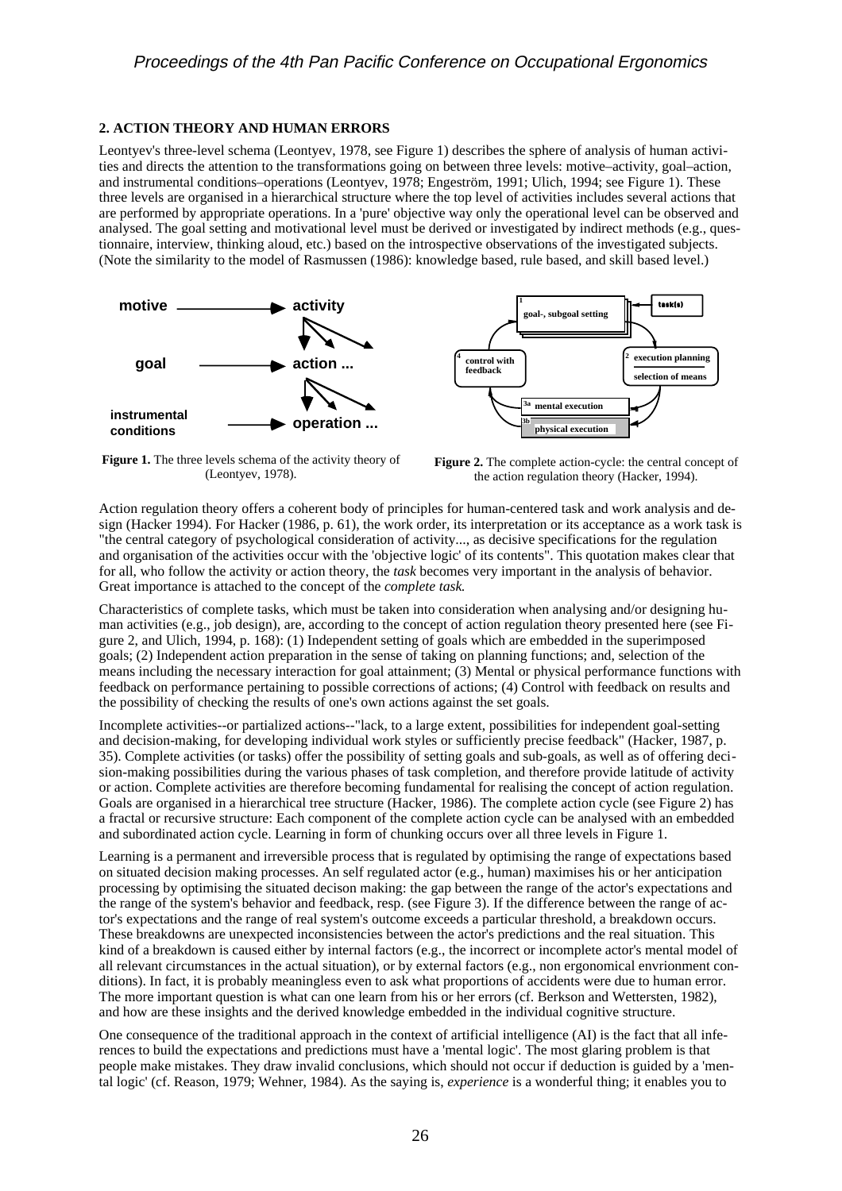# **2. ACTION THEORY AND HUMAN ERRORS**

Leontyev's three-level schema (Leontyev, 1978, see Figure 1) describes the sphere of analysis of human activities and directs the attention to the transformations going on between three levels: motive–activity, goal–action, and instrumental conditions–operations (Leontyev, 1978; Engeström, 1991; Ulich, 1994; see Figure 1). These three levels are organised in a hierarchical structure where the top level of activities includes several actions that are performed by appropriate operations. In a 'pure' objective way only the operational level can be observed and analysed. The goal setting and motivational level must be derived or investigated by indirect methods (e.g., questionnaire, interview, thinking aloud, etc.) based on the introspective observations of the investigated subjects. (Note the similarity to the model of Rasmussen (1986): knowledge based, rule based, and skill based level.)



**Figure 1.** The three levels schema of the activity theory of (Leontyev, 1978).

**Figure 2.** The complete action-cycle: the central concept of the action regulation theory (Hacker, 1994).

Action regulation theory offers a coherent body of principles for human-centered task and work analysis and design (Hacker 1994). For Hacker (1986, p. 61), the work order, its interpretation or its acceptance as a work task is "the central category of psychological consideration of activity..., as decisive specifications for the regulation and organisation of the activities occur with the 'objective logic' of its contents". This quotation makes clear that for all, who follow the activity or action theory, the *task* becomes very important in the analysis of behavior. Great importance is attached to the concept of the *complete task*.

Characteristics of complete tasks, which must be taken into consideration when analysing and/or designing human activities (e.g., job design), are, according to the concept of action regulation theory presented here (see Figure 2, and Ulich, 1994, p. 168): (1) Independent setting of goals which are embedded in the superimposed goals; (2) Independent action preparation in the sense of taking on planning functions; and, selection of the means including the necessary interaction for goal attainment; (3) Mental or physical performance functions with feedback on performance pertaining to possible corrections of actions; (4) Control with feedback on results and the possibility of checking the results of one's own actions against the set goals.

Incomplete activities--or partialized actions--"lack, to a large extent, possibilities for independent goal-setting and decision-making, for developing individual work styles or sufficiently precise feedback" (Hacker, 1987, p. 35). Complete activities (or tasks) offer the possibility of setting goals and sub-goals, as well as of offering decision-making possibilities during the various phases of task completion, and therefore provide latitude of activity or action. Complete activities are therefore becoming fundamental for realising the concept of action regulation. Goals are organised in a hierarchical tree structure (Hacker, 1986). The complete action cycle (see Figure 2) has a fractal or recursive structure: Each component of the complete action cycle can be analysed with an embedded and subordinated action cycle. Learning in form of chunking occurs over all three levels in Figure 1.

Learning is a permanent and irreversible process that is regulated by optimising the range of expectations based on situated decision making processes. An self regulated actor (e.g., human) maximises his or her anticipation processing by optimising the situated decison making: the gap between the range of the actor's expectations and the range of the system's behavior and feedback, resp. (see Figure 3). If the difference between the range of actor's expectations and the range of real system's outcome exceeds a particular threshold, a breakdown occurs. These breakdowns are unexpected inconsistencies between the actor's predictions and the real situation. This kind of a breakdown is caused either by internal factors (e.g., the incorrect or incomplete actor's mental model of all relevant circumstances in the actual situation), or by external factors (e.g., non ergonomical envrionment conditions). In fact, it is probably meaningless even to ask what proportions of accidents were due to human error. The more important question is what can one learn from his or her errors (cf. Berkson and Wettersten, 1982), and how are these insights and the derived knowledge embedded in the individual cognitive structure.

One consequence of the traditional approach in the context of artificial intelligence (AI) is the fact that all inferences to build the expectations and predictions must have a 'mental logic'. The most glaring problem is that people make mistakes. They draw invalid conclusions, which should not occur if deduction is guided by a 'mental logic' (cf. Reason, 1979; Wehner, 1984). As the saying is, *experience* is a wonderful thing; it enables you to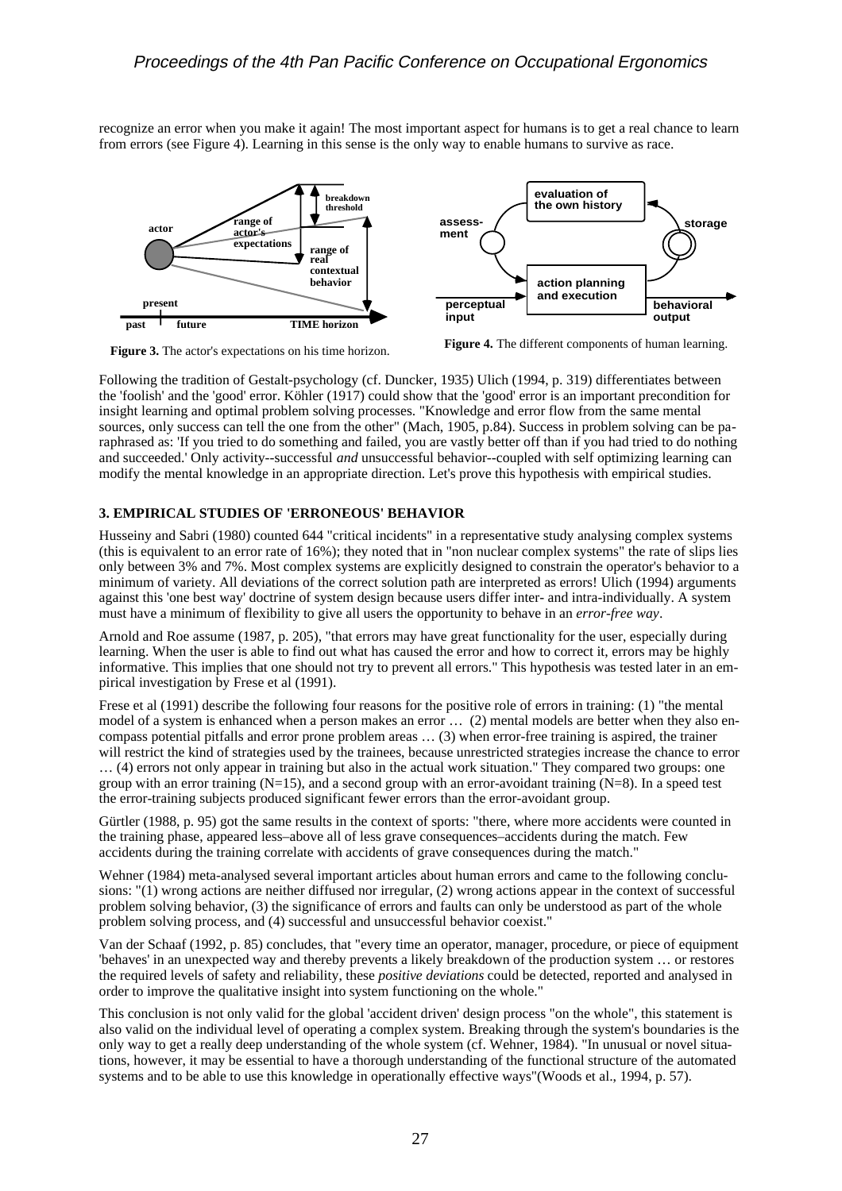recognize an error when you make it again! The most important aspect for humans is to get a real chance to learn from errors (see Figure 4). Learning in this sense is the only way to enable humans to survive as race.



**Figure 3.** The actor's expectations on his time horizon.



Following the tradition of Gestalt-psychology (cf. Duncker, 1935) Ulich (1994, p. 319) differentiates between the 'foolish' and the 'good' error. Köhler (1917) could show that the 'good' error is an important precondition for insight learning and optimal problem solving processes. "Knowledge and error flow from the same mental sources, only success can tell the one from the other" (Mach, 1905, p.84). Success in problem solving can be paraphrased as: 'If you tried to do something and failed, you are vastly better off than if you had tried to do nothing and succeeded.' Only activity--successful *and* unsuccessful behavior--coupled with self optimizing learning can modify the mental knowledge in an appropriate direction. Let's prove this hypothesis with empirical studies.

## **3. EMPIRICAL STUDIES OF 'ERRONEOUS' BEHAVIOR**

Husseiny and Sabri (1980) counted 644 "critical incidents" in a representative study analysing complex systems (this is equivalent to an error rate of 16%); they noted that in "non nuclear complex systems" the rate of slips lies only between 3% and 7%. Most complex systems are explicitly designed to constrain the operator's behavior to a minimum of variety. All deviations of the correct solution path are interpreted as errors! Ulich (1994) arguments against this 'one best way' doctrine of system design because users differ inter- and intra-individually. A system must have a minimum of flexibility to give all users the opportunity to behave in an *error-free way*.

Arnold and Roe assume (1987, p. 205), "that errors may have great functionality for the user, especially during learning. When the user is able to find out what has caused the error and how to correct it, errors may be highly informative. This implies that one should not try to prevent all errors." This hypothesis was tested later in an empirical investigation by Frese et al (1991).

Frese et al (1991) describe the following four reasons for the positive role of errors in training: (1) "the mental model of a system is enhanced when a person makes an error … (2) mental models are better when they also encompass potential pitfalls and error prone problem areas … (3) when error-free training is aspired, the trainer will restrict the kind of strategies used by the trainees, because unrestricted strategies increase the chance to error … (4) errors not only appear in training but also in the actual work situation." They compared two groups: one group with an error training ( $N=15$ ), and a second group with an error-avoidant training  $(N=8)$ . In a speed test the error-training subjects produced significant fewer errors than the error-avoidant group.

Gürtler (1988, p. 95) got the same results in the context of sports: "there, where more accidents were counted in the training phase, appeared less–above all of less grave consequences–accidents during the match. Few accidents during the training correlate with accidents of grave consequences during the match."

Wehner (1984) meta-analysed several important articles about human errors and came to the following conclusions: "(1) wrong actions are neither diffused nor irregular, (2) wrong actions appear in the context of successful problem solving behavior, (3) the significance of errors and faults can only be understood as part of the whole problem solving process, and (4) successful and unsuccessful behavior coexist."

Van der Schaaf (1992, p. 85) concludes, that "every time an operator, manager, procedure, or piece of equipment 'behaves' in an unexpected way and thereby prevents a likely breakdown of the production system … or restores the required levels of safety and reliability, these *positive deviations* could be detected, reported and analysed in order to improve the qualitative insight into system functioning on the whole."

This conclusion is not only valid for the global 'accident driven' design process "on the whole", this statement is also valid on the individual level of operating a complex system. Breaking through the system's boundaries is the only way to get a really deep understanding of the whole system (cf. Wehner, 1984). "In unusual or novel situations, however, it may be essential to have a thorough understanding of the functional structure of the automated systems and to be able to use this knowledge in operationally effective ways"(Woods et al., 1994, p. 57).